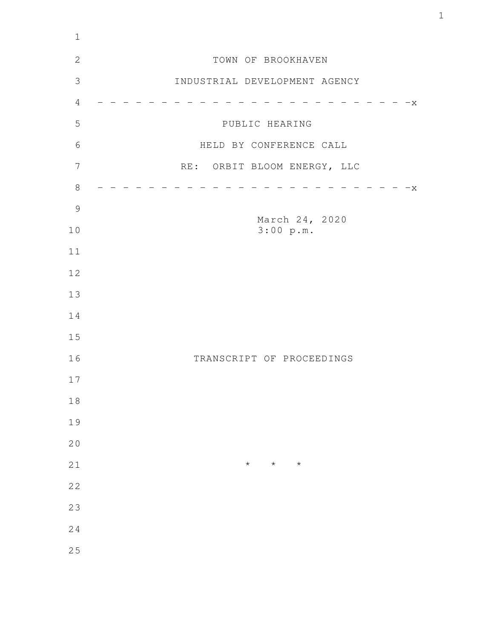| TOWN OF BROOKHAVEN<br>INDUSTRIAL DEVELOPMENT AGENCY |  |  |  |  |  |  |  |  |  |  |  |  |  |
|-----------------------------------------------------|--|--|--|--|--|--|--|--|--|--|--|--|--|
|                                                     |  |  |  |  |  |  |  |  |  |  |  |  |  |
|                                                     |  |  |  |  |  |  |  |  |  |  |  |  |  |
| $-x$                                                |  |  |  |  |  |  |  |  |  |  |  |  |  |
| PUBLIC HEARING                                      |  |  |  |  |  |  |  |  |  |  |  |  |  |
| HELD BY CONFERENCE CALL                             |  |  |  |  |  |  |  |  |  |  |  |  |  |
| RE: ORBIT BLOOM ENERGY, LLC                         |  |  |  |  |  |  |  |  |  |  |  |  |  |
| $-x$                                                |  |  |  |  |  |  |  |  |  |  |  |  |  |
|                                                     |  |  |  |  |  |  |  |  |  |  |  |  |  |
| March 24, 2020<br>3:00 p.m.                         |  |  |  |  |  |  |  |  |  |  |  |  |  |
|                                                     |  |  |  |  |  |  |  |  |  |  |  |  |  |
|                                                     |  |  |  |  |  |  |  |  |  |  |  |  |  |
|                                                     |  |  |  |  |  |  |  |  |  |  |  |  |  |
|                                                     |  |  |  |  |  |  |  |  |  |  |  |  |  |
|                                                     |  |  |  |  |  |  |  |  |  |  |  |  |  |
| TRANSCRIPT OF PROCEEDINGS                           |  |  |  |  |  |  |  |  |  |  |  |  |  |
|                                                     |  |  |  |  |  |  |  |  |  |  |  |  |  |
|                                                     |  |  |  |  |  |  |  |  |  |  |  |  |  |
|                                                     |  |  |  |  |  |  |  |  |  |  |  |  |  |
|                                                     |  |  |  |  |  |  |  |  |  |  |  |  |  |
| $\star$<br>$\star$<br>$\star$                       |  |  |  |  |  |  |  |  |  |  |  |  |  |
|                                                     |  |  |  |  |  |  |  |  |  |  |  |  |  |
|                                                     |  |  |  |  |  |  |  |  |  |  |  |  |  |
|                                                     |  |  |  |  |  |  |  |  |  |  |  |  |  |
|                                                     |  |  |  |  |  |  |  |  |  |  |  |  |  |
|                                                     |  |  |  |  |  |  |  |  |  |  |  |  |  |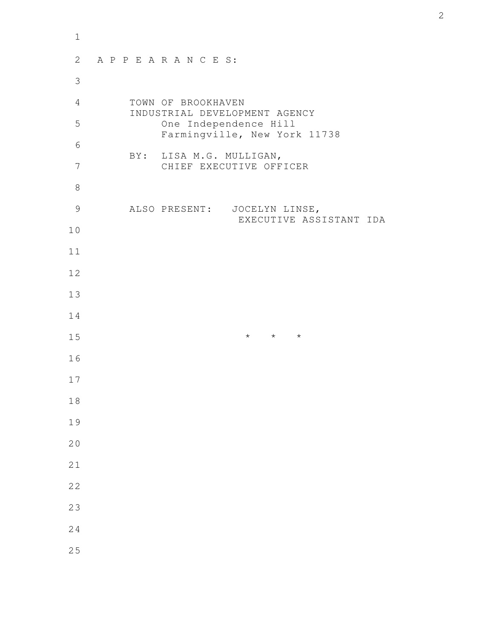| $1\,$          |                                                     |  |  |  |                              |  |  |  |  |  |                         |                         |                               |  |                              |  |  |  |  |  |
|----------------|-----------------------------------------------------|--|--|--|------------------------------|--|--|--|--|--|-------------------------|-------------------------|-------------------------------|--|------------------------------|--|--|--|--|--|
| $\mathbf{2}$   | APPEARANCES:                                        |  |  |  |                              |  |  |  |  |  |                         |                         |                               |  |                              |  |  |  |  |  |
| $\mathfrak{Z}$ |                                                     |  |  |  |                              |  |  |  |  |  |                         |                         |                               |  |                              |  |  |  |  |  |
| $\overline{4}$ | TOWN OF BROOKHAVEN<br>INDUSTRIAL DEVELOPMENT AGENCY |  |  |  |                              |  |  |  |  |  |                         |                         |                               |  |                              |  |  |  |  |  |
| 5              |                                                     |  |  |  |                              |  |  |  |  |  |                         |                         | One Independence Hill         |  | Farmingville, New York 11738 |  |  |  |  |  |
| 6              |                                                     |  |  |  |                              |  |  |  |  |  | BY: LISA M.G. MULLIGAN, |                         |                               |  |                              |  |  |  |  |  |
| 7              |                                                     |  |  |  |                              |  |  |  |  |  |                         |                         | CHIEF EXECUTIVE OFFICER       |  |                              |  |  |  |  |  |
| $\,8\,$        |                                                     |  |  |  |                              |  |  |  |  |  |                         |                         |                               |  |                              |  |  |  |  |  |
| $\mathcal{G}$  |                                                     |  |  |  | ALSO PRESENT: JOCELYN LINSE, |  |  |  |  |  |                         | EXECUTIVE ASSISTANT IDA |                               |  |                              |  |  |  |  |  |
| 10             |                                                     |  |  |  |                              |  |  |  |  |  |                         |                         |                               |  |                              |  |  |  |  |  |
| 11             |                                                     |  |  |  |                              |  |  |  |  |  |                         |                         |                               |  |                              |  |  |  |  |  |
| 12             |                                                     |  |  |  |                              |  |  |  |  |  |                         |                         |                               |  |                              |  |  |  |  |  |
| 13             |                                                     |  |  |  |                              |  |  |  |  |  |                         |                         |                               |  |                              |  |  |  |  |  |
| 14             |                                                     |  |  |  |                              |  |  |  |  |  |                         |                         |                               |  |                              |  |  |  |  |  |
| 15             |                                                     |  |  |  |                              |  |  |  |  |  |                         |                         | $\star\qquad\star\qquad\star$ |  |                              |  |  |  |  |  |
| 16             |                                                     |  |  |  |                              |  |  |  |  |  |                         |                         |                               |  |                              |  |  |  |  |  |
| 17             |                                                     |  |  |  |                              |  |  |  |  |  |                         |                         |                               |  |                              |  |  |  |  |  |
| 18             |                                                     |  |  |  |                              |  |  |  |  |  |                         |                         |                               |  |                              |  |  |  |  |  |
| 19             |                                                     |  |  |  |                              |  |  |  |  |  |                         |                         |                               |  |                              |  |  |  |  |  |
| 20             |                                                     |  |  |  |                              |  |  |  |  |  |                         |                         |                               |  |                              |  |  |  |  |  |
| 21             |                                                     |  |  |  |                              |  |  |  |  |  |                         |                         |                               |  |                              |  |  |  |  |  |
| 22             |                                                     |  |  |  |                              |  |  |  |  |  |                         |                         |                               |  |                              |  |  |  |  |  |
| 23             |                                                     |  |  |  |                              |  |  |  |  |  |                         |                         |                               |  |                              |  |  |  |  |  |
| 24             |                                                     |  |  |  |                              |  |  |  |  |  |                         |                         |                               |  |                              |  |  |  |  |  |
| 25             |                                                     |  |  |  |                              |  |  |  |  |  |                         |                         |                               |  |                              |  |  |  |  |  |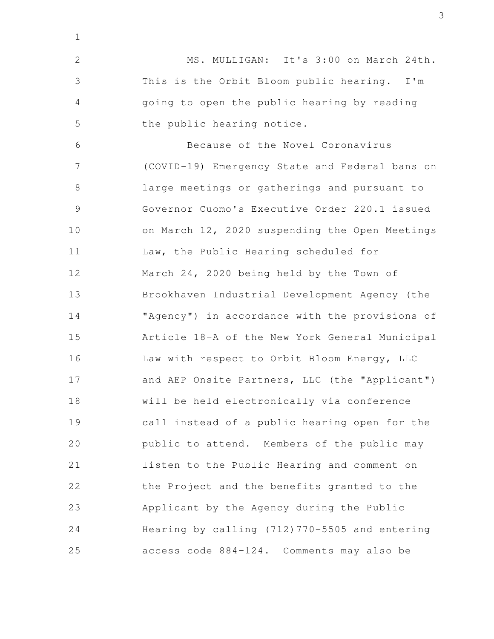MS. MULLIGAN: It's 3:00 on March 24th. This is the Orbit Bloom public hearing. I'm going to open the public hearing by reading the public hearing notice. Because of the Novel Coronavirus (COVID-19) Emergency State and Federal bans on large meetings or gatherings and pursuant to Governor Cuomo's Executive Order 220.1 issued on March 12, 2020 suspending the Open Meetings Law, the Public Hearing scheduled for March 24, 2020 being held by the Town of Brookhaven Industrial Development Agency (the "Agency") in accordance with the provisions of Article 18-A of the New York General Municipal Law with respect to Orbit Bloom Energy, LLC and AEP Onsite Partners, LLC (the "Applicant") will be held electronically via conference call instead of a public hearing open for the public to attend. Members of the public may listen to the Public Hearing and comment on the Project and the benefits granted to the Applicant by the Agency during the Public Hearing by calling (712)770-5505 and entering access code 884-124. Comments may also be 2 3 4 5 6 7 8 9 10 11 12 13 14 15 16 17 18 19 20 21 22 23 24 25

1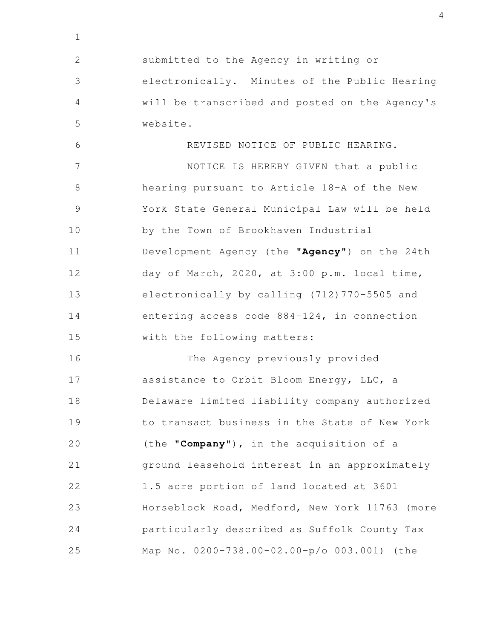submitted to the Agency in writing or electronically. Minutes of the Public Hearing will be transcribed and posted on the Agency's website. REVISED NOTICE OF PUBLIC HEARING. NOTICE IS HEREBY GIVEN that a public hearing pursuant to Article 18-A of the New York State General Municipal Law will be held by the Town of Brookhaven Industrial Development Agency (the "**Agency**") on the 24th day of March, 2020, at 3:00 p.m. local time, electronically by calling (712)770-5505 and entering access code 884-124, in connection with the following matters: 2 3 4 5 6 7 8 9 10 11 12 13 14 15

1

The Agency previously provided assistance to Orbit Bloom Energy, LLC, a Delaware limited liability company authorized to transact business in the State of New York (the "**Company**"), in the acquisition of a ground leasehold interest in an approximately 1.5 acre portion of land located at 3601 Horseblock Road, Medford, New York 11763 (more particularly described as Suffolk County Tax Map No. 0200-738.00-02.00-p/o 003.001) (the 16 17 18 19 20 21 22 23 24 25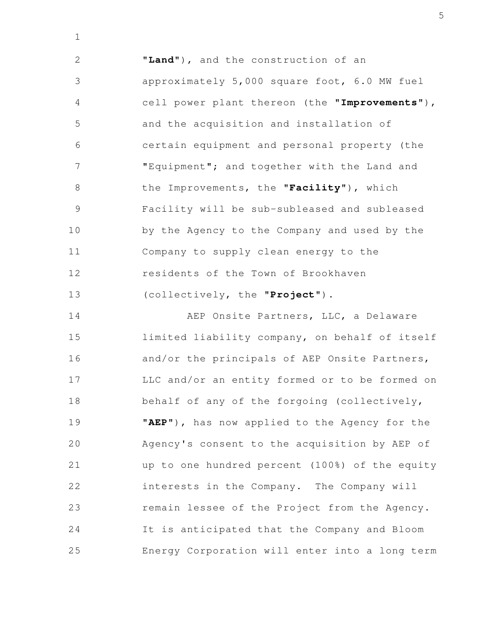"**Land**"), and the construction of an approximately 5,000 square foot, 6.0 MW fuel cell power plant thereon (the "**Improvements**"), and the acquisition and installation of certain equipment and personal property (the "Equipment"; and together with the Land and the Improvements, the "**Facility**"), which Facility will be sub-subleased and subleased by the Agency to the Company and used by the Company to supply clean energy to the residents of the Town of Brookhaven (collectively, the "**Project**"). 2 3 4 5 6 7 8 9 10 11 12 13

1

AEP Onsite Partners, LLC, a Delaware limited liability company, on behalf of itself and/or the principals of AEP Onsite Partners, LLC and/or an entity formed or to be formed on behalf of any of the forgoing (collectively, "**AEP**"), has now applied to the Agency for the Agency's consent to the acquisition by AEP of up to one hundred percent (100%) of the equity interests in the Company. The Company will remain lessee of the Project from the Agency. It is anticipated that the Company and Bloom Energy Corporation will enter into a long term 14 15 16 17 18 19 20 21 22 23 24 25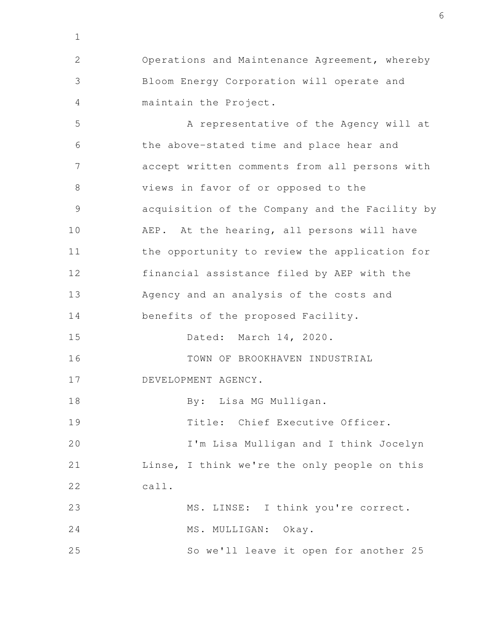Operations and Maintenance Agreement, whereby Bloom Energy Corporation will operate and maintain the Project. A representative of the Agency will at the above-stated time and place hear and accept written comments from all persons with 2 3 4 5 6 7

views in favor of or opposed to the acquisition of the Company and the Facility by AEP. At the hearing, all persons will have the opportunity to review the application for financial assistance filed by AEP with the Agency and an analysis of the costs and benefits of the proposed Facility. 8 9 10 11 12 13 14

Dated: March 14, 2020. 15

TOWN OF BROOKHAVEN INDUSTRIAL 16

DEVELOPMENT AGENCY. 17

1

By: Lisa MG Mulligan. 18

Title: Chief Executive Officer. 19

I'm Lisa Mulligan and I think Jocelyn Linse, I think we're the only people on this call. 20 21 22

MS. LINSE: I think you're correct. 23

MS. MULLIGAN: Okay. 24

So we'll leave it open for another 25 25